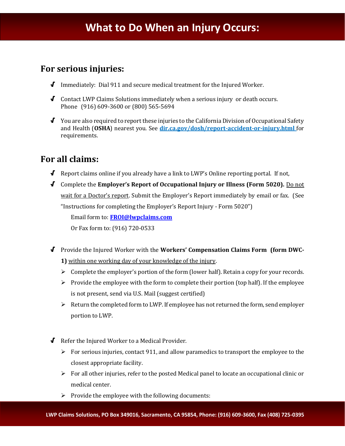## **For serious injuries:**

- √ Immediately: Dial 911 and secure medical treatment for the Injured Worker.
- √ Contact LWP Claims Solutions immediately when a serious injury or death occurs. Phone (916) 609-3600 or (800) 565-5694
- √ You are also required to report these injuries to the California Division of Occupational Safety and Health (**OSHA**) nearest you. See **dir.ca.gov/dosh/report-accident-or-injury.html** for requirements.

## **For all claims:**

- √ Report claims online if you already have a link to LWP's Online reporting portal. If not,
- √ Complete the **Employer's Report of Occupational Injury or Illness (Form 5020).** Do not wait for a Doctor's report. Submit the Employer's Report immediately by email or fax. (See "Instructions for completing the Employer's Report Injury - Form 5020")

Email form to: **[FROI@lwpclaims.com](mailto:FROI@lwpclaims.com)**

Or Fax form to: (916) 720-0533

- √ Provide the Injured Worker with the **Workers' Compensation Claims Form (form DWC-1)** within one working day of your knowledge of the injury.
	- $\triangleright$  Complete the employer's portion of the form (lower half). Retain a copy for your records.
	- $\triangleright$  Provide the employee with the form to complete their portion (top half). If the employee is not present, send via U.S. Mail (suggest certified)
	- $\triangleright$  Return the completed form to LWP. If employee has not returned the form, send employer portion to LWP.
- √ Refer the Injured Worker to a Medical Provider.
	- $\triangleright$  For serious injuries, contact 911, and allow paramedics to transport the employee to the closest appropriate facility.
	- $\triangleright$  For all other injuries, refer to the posted Medical panel to locate an occupational clinic or medical center.
	- $\triangleright$  Provide the employee with the following documents: